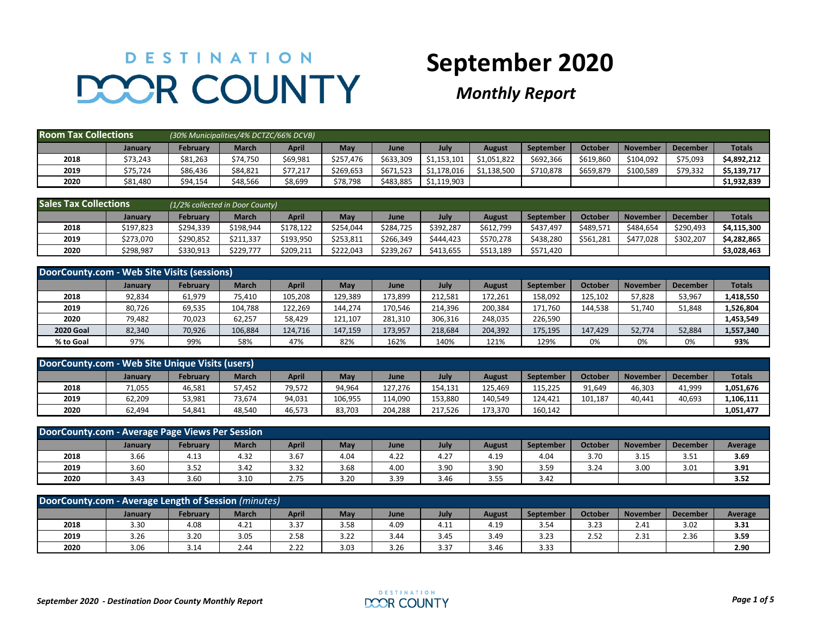## DESTINATION **DOOR COUNTY**

## **September 2020**

*Monthly Report*

| <b>Room Tax Collections</b> |          | (30% Municipalities/4% DCTZC/66% DCVB) |              |              |           |           |             |               |           |           |                 |                 |               |
|-----------------------------|----------|----------------------------------------|--------------|--------------|-----------|-----------|-------------|---------------|-----------|-----------|-----------------|-----------------|---------------|
|                             | January  | <b>February</b>                        | <b>March</b> | <b>April</b> | May       | June      | July        | <b>August</b> | September | October   | <b>November</b> | <b>December</b> | <b>Totals</b> |
| 2018                        | \$73,243 | \$81,263                               | \$74,750     | \$69,981     | \$257,476 | \$633.309 | \$1,153,101 | \$1,051,822   | \$692,366 | \$619,860 | \$104.092       | \$75,093        | \$4,892,212   |
| 2019                        | \$75,724 | \$86,436                               | \$84,821     | \$77,217     | \$269,653 | \$671.523 | \$1,178,016 | \$1,138,500   | \$710,878 | \$659,879 | \$100,589       | \$79,332        | \$5,139,717   |
| 2020                        | \$81,480 | \$94,154                               | \$48,566     | \$8,699      | \$78,798  | \$483,885 | \$1,119,903 |               |           |           |                 |                 | \$1,932,839   |

| <b>Sales Tax Collections</b> |           |                 | (1/2% collected in Door County) |           |           |           |           |               |           |           |                 |                 |               |
|------------------------------|-----------|-----------------|---------------------------------|-----------|-----------|-----------|-----------|---------------|-----------|-----------|-----------------|-----------------|---------------|
|                              | January   | <b>February</b> | <b>March</b>                    | April     | May       | June      | July      | <b>August</b> | September | October   | <b>November</b> | <b>December</b> | <b>Totals</b> |
| 2018                         | \$197,823 | \$294,339       | \$198,944                       | \$178,122 | \$254.044 | \$284.725 | \$392.287 | \$612,799     | \$437.497 | \$489,571 | \$484.654       | \$290,493       | \$4.115.300   |
| 2019                         | \$273,070 | \$290,852       | \$211.337                       | \$193.950 | \$253,811 | \$266.349 | \$444.423 | \$570.278     | \$438,280 | \$561.281 | \$477.028       | \$302.207       | \$4.282.865   |
| 2020                         | \$298,987 | \$330,913       | \$229,777                       | \$209,21  | \$222.043 | \$239,267 | \$413.655 | \$513,189     | \$571,420 |           |                 |                 | \$3,028,463   |

| DoorCounty.com - Web Site Visits (sessions) |                |                 |              |         |         |         |         |         |           |         |                 |                 |               |
|---------------------------------------------|----------------|-----------------|--------------|---------|---------|---------|---------|---------|-----------|---------|-----------------|-----------------|---------------|
|                                             | <b>January</b> | <b>February</b> | <b>March</b> | April   | May     | June    | July    | August  | September | October | <b>November</b> | <b>December</b> | <b>Totals</b> |
| 2018                                        | 92,834         | 61,979          | 75,410       | 105,208 | 129,389 | 73,899  | 212.581 | 172,261 | 158,092   | 125,102 | 57,828          | 53,967          | 1,418,550     |
| 2019                                        | 80,726         | 69,535          | 104,788      | 122,269 | 144,274 | 170,546 | 214,396 | 200,384 | 171,760   | 144,538 | 51,740          | 51,848          | 1,526,804     |
| 2020                                        | 79,482         | 70,023          | 62,257       | 58,429  | 121,107 | 281,310 | 306,316 | 248,035 | 226,590   |         |                 |                 | 1,453,549     |
| <b>2020 Goal</b>                            | 82,340         | 70,926          | 106,884      | 124.716 | 147,159 | 173,957 | 218,684 | 204,392 | 175,195   | 147.429 | 52.774          | 52,884          | 1,557,340     |
| % to Goal                                   | 97%            | 99%             | 58%          | 47%     | 82%     | 162%    | 140%    | 121%    | 129%      | 0%      | 0%              | 0%              | 93%           |

| DoorCounty.com - Web Site Unique Visits (users)                                                                                                              |        |        |        |        |         |         |         |         |         |         |        |        |           |
|--------------------------------------------------------------------------------------------------------------------------------------------------------------|--------|--------|--------|--------|---------|---------|---------|---------|---------|---------|--------|--------|-----------|
| <b>March</b><br><b>Totals</b><br>April<br>May<br>October<br>July<br><b>November</b><br>Februarv<br>September<br><b>December</b><br>August<br>June<br>January |        |        |        |        |         |         |         |         |         |         |        |        |           |
| 2018                                                                                                                                                         | 71,055 | 46,581 | 57,452 | 79,572 | 94,964  | 127.276 | 154.131 | 125.469 | 115,225 | 91,649  | 46,303 | 41,999 | 1,051,676 |
| 2019                                                                                                                                                         | 62,209 | 53,981 | 73,674 | 94,031 | 106,955 | 114,090 | 153,880 | 140,549 | 124.421 | 101,187 | 40,441 | 40,693 | 1,106,111 |
| 2020                                                                                                                                                         | 62,494 | 54,841 | 48,540 | 46,573 | 83,703  | 204,288 | 217,526 | 173,370 | 160,142 |         |        |        | 1,051,477 |

| DoorCounty.com - Average Page Views Per Session                                                                                                               |      |      |      |      |      |      |      |      |      |      |      |      |      |
|---------------------------------------------------------------------------------------------------------------------------------------------------------------|------|------|------|------|------|------|------|------|------|------|------|------|------|
| April<br><b>March</b><br>October<br>May<br>July<br>February<br><b>December</b><br><b>November</b><br>September<br>Average<br><b>August</b><br>January<br>June |      |      |      |      |      |      |      |      |      |      |      |      |      |
| 2018                                                                                                                                                          | 3.66 | 4.13 | 4.32 | 3.67 | 4.04 | 4.22 | 4.27 | 4.19 | 4.04 | 3.70 | 3.15 | 3.51 | 3.69 |
| 2019                                                                                                                                                          | 3.60 | 3.52 | 3.42 | 3.32 | 3.68 | 4.00 | 3.90 | 3.90 | 3.59 | 3.24 | 3.00 | 3.01 | 3.91 |
| 2020                                                                                                                                                          | 3.43 | 3.60 | 3.10 | 2.75 | 3.20 | 3.39 | 3.46 | 3.55 | 3.42 |      |      |      | 3.52 |

| DoorCounty.com - Average Length of Session (minutes)                                                                                                   |      |      |      |      |      |      |      |      |      |      |      |      |      |
|--------------------------------------------------------------------------------------------------------------------------------------------------------|------|------|------|------|------|------|------|------|------|------|------|------|------|
| April<br>October<br><b>March</b><br>May<br>July<br><b>February</b><br>September<br>November<br><b>December</b><br>August<br>January<br>Average<br>June |      |      |      |      |      |      |      |      |      |      |      |      |      |
| 2018                                                                                                                                                   | 3.30 | 4.08 | 4.21 | 3.37 | 3.58 | 4.09 | 4.11 | 4.19 | 3.54 | 3.23 | 2.41 | 3.02 | 3.31 |
| 2019                                                                                                                                                   | 3.26 | 3.20 | 3.05 | 2.58 | 3.22 | 3.44 | 3.45 | 3.49 | 3.23 | 2.52 | 2.31 | 2.36 | 3.59 |
| 2020                                                                                                                                                   | 3.06 | 3.14 | 2.44 | 2.22 | 3.03 | 3.26 | 3.37 | 3.46 | 3.33 |      |      |      | 2.90 |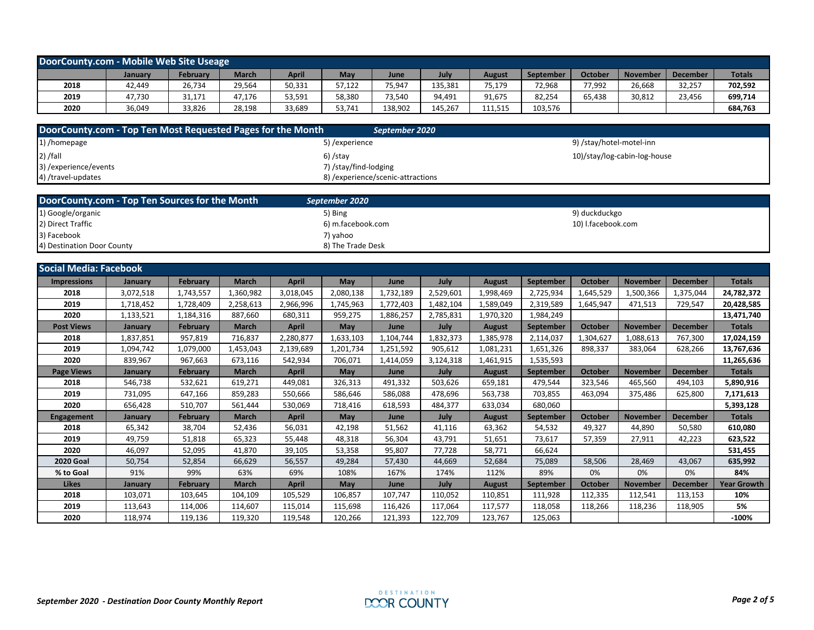| DoorCounty.com - Mobile Web Site Useage                                                                                                               |        |        |        |        |        |         |         |         |         |        |        |        |         |
|-------------------------------------------------------------------------------------------------------------------------------------------------------|--------|--------|--------|--------|--------|---------|---------|---------|---------|--------|--------|--------|---------|
| <b>Totals</b><br>October<br>April<br>Februarv<br>March<br>July<br><b>November</b><br>May<br>September<br><b>December</b><br>August<br>June<br>January |        |        |        |        |        |         |         |         |         |        |        |        |         |
| 2018                                                                                                                                                  | 42,449 | 26,734 | 29,564 | 50,331 | 57,122 | 75,947  | 135,381 | 75,179  | 72,968  | 77,992 | 26,668 | 32,257 | 702,592 |
| 2019                                                                                                                                                  | 47,730 | 31,171 | 47,176 | 53,591 | 58,380 | 73,540  | 94,491  | 91,675  | 82,254  | 65,438 | 30,812 | 23,456 | 699,714 |
| 2020                                                                                                                                                  | 36.049 | 33.826 | 28,198 | 33,689 | 53,741 | 138,902 | 145.267 | 111,515 | 103,576 |        |        |        | 684,763 |

| DoorCounty.com - Top Ten Most Requested Pages for the Month | September 2020                     |                              |
|-------------------------------------------------------------|------------------------------------|------------------------------|
| 1) /homepage                                                | 5) / experience                    | 9) /stay/hotel-motel-inn     |
| $2)$ /fall                                                  | $6)$ /stay                         | 10)/stay/log-cabin-log-house |
| 3) / experience/ events                                     | 7) /stay/find-lodging              |                              |
| 4) /travel-updates                                          | 8) / experience/scenic-attractions |                              |

| DoorCounty.com - Top Ten Sources for the Month | September 2020    |                    |
|------------------------------------------------|-------------------|--------------------|
| 1) Google/organic                              | 5) Bing           | 9) duckduckgo      |
| 2) Direct Traffic                              | 6) m.facebook.com | 10) I.facebook.com |
| 3) Facebook                                    | 7) vahoo          |                    |
| 4) Destination Door County                     | 8) The Trade Desk |                    |

| <b>Social Media: Facebook</b> |           |                 |              |              |           |           |           |               |                  |                |                 |                 |                    |
|-------------------------------|-----------|-----------------|--------------|--------------|-----------|-----------|-----------|---------------|------------------|----------------|-----------------|-----------------|--------------------|
| <b>Impressions</b>            | January   | February        | <b>March</b> | <b>April</b> | May       | June      | July      | <b>August</b> | September        | <b>October</b> | <b>November</b> | <b>December</b> | <b>Totals</b>      |
| 2018                          | 3,072,518 | 1,743,557       | 1,360,982    | 3,018,045    | 2,080,138 | 1,732,189 | 2,529,601 | 1,998,469     | 2,725,934        | 1,645,529      | 1,500,366       | 1,375,044       | 24,782,372         |
| 2019                          | 1,718,452 | 1,728,409       | 2,258,613    | 2,966,996    | 1,745,963 | 1,772,403 | 1,482,104 | 1,589,049     | 2,319,589        | 1,645,947      | 471,513         | 729,547         | 20,428,585         |
| 2020                          | 1,133,521 | 1,184,316       | 887,660      | 680.311      | 959,275   | 1,886,257 | 2,785,831 | 1,970,320     | 1,984,249        |                |                 |                 | 13,471,740         |
| <b>Post Views</b>             | January   | <b>February</b> | <b>March</b> | April        | May       | June      | July      | <b>August</b> | September        | October        | <b>November</b> | <b>December</b> | <b>Totals</b>      |
| 2018                          | 1,837,851 | 957,819         | 716,837      | 2,280,877    | 1,633,103 | 1,104,744 | 1,832,373 | 1,385,978     | 2,114,037        | 1,304,627      | 1,088,613       | 767,300         | 17,024,159         |
| 2019                          | 1,094,742 | 1,079,000       | 1,453,043    | 2,139,689    | 1,201,734 | 1,251,592 | 905,612   | 1,081,231     | 1,651,326        | 898,337        | 383,064         | 628,266         | 13,767,636         |
| 2020                          | 839,967   | 967,663         | 673,116      | 542,934      | 706,071   | 1,414,059 | 3,124,318 | 1,461,915     | 1,535,593        |                |                 |                 | 11,265,636         |
| <b>Page Views</b>             | January   | <b>February</b> | <b>March</b> | <b>April</b> | May       | June      | July      | <b>August</b> | September        | October        | <b>November</b> | <b>December</b> | <b>Totals</b>      |
| 2018                          | 546,738   | 532,621         | 619,271      | 449,081      | 326,313   | 491,332   | 503,626   | 659,181       | 479,544          | 323,546        | 465,560         | 494,103         | 5,890,916          |
| 2019                          | 731,095   | 647,166         | 859,283      | 550,666      | 586,646   | 586,088   | 478,696   | 563,738       | 703,855          | 463,094        | 375,486         | 625,800         | 7,171,613          |
| 2020                          | 656,428   | 510,707         | 561,444      | 530,069      | 718,416   | 618,593   | 484,377   | 633,034       | 680,060          |                |                 |                 | 5,393,128          |
| Engagement                    | January   | <b>February</b> | <b>March</b> | April        | May       | June      | July      | <b>August</b> | September        | October        | <b>November</b> | <b>December</b> | <b>Totals</b>      |
| 2018                          | 65,342    | 38.704          | 52.436       | 56.031       | 42,198    | 51,562    | 41,116    | 63,362        | 54,532           | 49.327         | 44,890          | 50,580          | 610.080            |
| 2019                          | 49,759    | 51,818          | 65,323       | 55,448       | 48,318    | 56,304    | 43,791    | 51,651        | 73,617           | 57,359         | 27,911          | 42,223          | 623,522            |
| 2020                          | 46,097    | 52,095          | 41,870       | 39.105       | 53,358    | 95,807    | 77,728    | 58,771        | 66,624           |                |                 |                 | 531,455            |
| <b>2020 Goal</b>              | 50,754    | 52,854          | 66,629       | 56,557       | 49,284    | 57,430    | 44,669    | 52,684        | 75,089           | 58,506         | 28,469          | 43,067          | 635,992            |
| % to Goal                     | 91%       | 99%             | 63%          | 69%          | 108%      | 167%      | 174%      | 112%          | 89%              | 0%             | 0%              | 0%              | 84%                |
| <b>Likes</b>                  | January   | <b>February</b> | <b>March</b> | April        | May       | June      | July      | <b>August</b> | <b>September</b> | October        | <b>November</b> | <b>December</b> | <b>Year Growth</b> |
| 2018                          | 103,071   | 103,645         | 104,109      | 105,529      | 106,857   | 107,747   | 110,052   | 110,851       | 111,928          | 112,335        | 112,541         | 113,153         | 10%                |
| 2019                          | 113,643   | 114,006         | 114,607      | 115,014      | 115,698   | 116,426   | 117,064   | 117,577       | 118,058          | 118,266        | 118,236         | 118,905         | 5%                 |
| 2020                          | 118,974   | 119,136         | 119,320      | 119,548      | 120,266   | 121,393   | 122,709   | 123,767       | 125,063          |                |                 |                 | $-100%$            |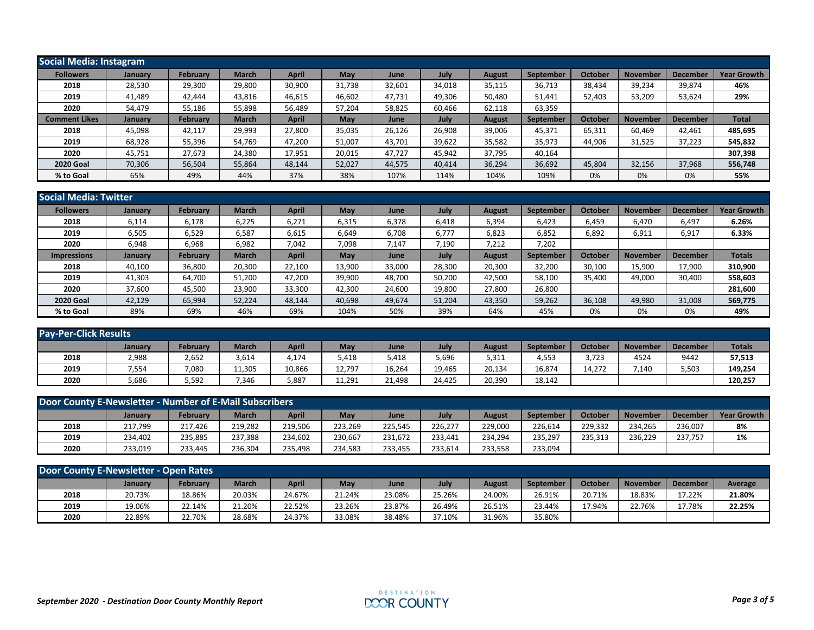| <b>Social Media: Instagram</b> |                |                 |              |              |        |        |        |               |           |         |                 |                 |                    |
|--------------------------------|----------------|-----------------|--------------|--------------|--------|--------|--------|---------------|-----------|---------|-----------------|-----------------|--------------------|
| <b>Followers</b>               | <b>January</b> | <b>February</b> | March        | <b>April</b> | May    | June   | July   | <b>August</b> | September | October | <b>November</b> | <b>Decembe</b>  | <b>Year Growth</b> |
| 2018                           | 28,530         | 29,300          | 29,800       | 30,900       | 31,738 | 32,601 | 34,018 | 35,115        | 36,713    | 38,434  | 39,234          | 39,874          | 46%                |
| 2019                           | 41,489         | 42,444          | 43,816       | 46,615       | 46,602 | 47,731 | 49,306 | 50,480        | 51,441    | 52,403  | 53,209          | 53,624          | 29%                |
| 2020                           | 54,479         | 55,186          | 55,898       | 56,489       | 57,204 | 58,825 | 60,466 | 62,118        | 63,359    |         |                 |                 |                    |
| <b>Comment Likes</b>           | January        | <b>February</b> | <b>March</b> | <b>April</b> | May    | June   | July   | <b>August</b> | September | October | November        | <b>December</b> | <b>Total</b>       |
| 2018                           | 45,098         | 42,117          | 29,993       | 27,800       | 35,035 | 26,126 | 26,908 | 39,006        | 45,371    | 65,311  | 60,469          | 42,461          | 485,695            |
| 2019                           | 68,928         | 55,396          | 54,769       | 47,200       | 51,007 | 43,701 | 39,622 | 35,582        | 35,973    | 44,906  | 31,525          | 37,223          | 545,832            |
| 2020                           | 45,751         | 27,673          | 24,380       | 17,951       | 20,015 | 47.727 | 45,942 | 37,795        | 40,164    |         |                 |                 | 307,398            |
| <b>2020 Goal</b>               | 70,306         | 56,504          | 55,864       | 48,144       | 52,027 | 44,575 | 40,414 | 36,294        | 36,692    | 45,804  | 32,156          | 37,968          | 556,748            |
| % to Goal                      | 65%            | 49%             | 44%          | 37%          | 38%    | 107%   | 114%   | 104%          | 109%      | 0%      | 0%              | 0%              | 55%                |

| <b>Social Media: Twitter</b> |         |                 |              |              |        |        |        |               |           |         |                 |                 |                    |
|------------------------------|---------|-----------------|--------------|--------------|--------|--------|--------|---------------|-----------|---------|-----------------|-----------------|--------------------|
| <b>Followers</b>             | January | <b>February</b> | <b>March</b> | <b>April</b> | May    | June   | July   | August        | September | October | <b>November</b> | <b>Decembe</b>  | <b>Year Growth</b> |
| 2018                         | 6,114   | 6,178           | 6,225        | 6,271        | 6,315  | 6,378  | 6,418  | 6,394         | 6,423     | 6,459   | 6,470           | 6,497           | 6.26%              |
| 2019                         | 6,505   | 6,529           | 6,587        | 6,615        | 6,649  | 6,708  | 6,777  | 6,823         | 6,852     | 6,892   | 6,911           | 6,917           | 6.33%              |
| 2020                         | 6,948   | 6,968           | 6,982        | 7,042        | 7,098  | 7,147  | 7,190  | 7,212         | 7,202     |         |                 |                 |                    |
| <b>Impressions</b>           | January | <b>February</b> | <b>March</b> | <b>April</b> | May    | June   | July   | <b>August</b> | September | October | <b>November</b> | <b>December</b> | <b>Totals</b>      |
| 2018                         | 40,100  | 36,800          | 20,300       | 22,100       | 13,900 | 33,000 | 28,300 | 20,300        | 32,200    | 30,100  | 15,900          | 17,900          | 310,900            |
| 2019                         | 41,303  | 64,700          | 51,200       | 47,200       | 39,900 | 48,700 | 50,200 | 42,500        | 58,100    | 35,400  | 49,000          | 30,400          | 558,603            |
| 2020                         | 37,600  | 45,500          | 23,900       | 33,300       | 42,300 | 24,600 | 19,800 | 27,800        | 26,800    |         |                 |                 | 281,600            |
| <b>2020 Goal</b>             | 42,129  | 65,994          | 52,224       | 48,144       | 40,698 | 49,674 | 51,204 | 43,350        | 59,262    | 36,108  | 49,980          | 31,008          | 569,775            |
| % to Goal                    | 89%     | 69%             | 46%          | 69%          | 104%   | 50%    | 39%    | 64%           | 45%       | 0%      | 0%              | 0%              | 49%                |

| <b>Pay-Per-Click Results</b> |         |          |              |        |        |        |        |        |           |                |                 |                 |               |
|------------------------------|---------|----------|--------------|--------|--------|--------|--------|--------|-----------|----------------|-----------------|-----------------|---------------|
|                              | January | February | <b>March</b> | April  | May    | June   | July   | August | September | <b>October</b> | <b>November</b> | <b>December</b> | <b>Totals</b> |
| 2018                         | 2,988   | 2,652    | 3,614        | 4,174  | 5,418  | 418.د  | 5,696  | 5,311  | 4,553     | 3,723          | 4524            | 9442            | 57,513        |
| 2019                         | 7,554   | 7,080    | 11,305       | 10,866 | 12,797 | 16,264 | 19,465 | 20,134 | 16,874    | 14,272         | ,140            | 5,503           | 149,254       |
| 2020                         | 5,686   | 5,592    | 7,346        | 5,887  | 11,291 | 21.498 | 24,425 | 20,390 | 18,142    |                |                 |                 | 120.257       |

| Door County E-Newsletter - Number of E-Mail Subscribers |         |          |              |         |         |         |         |         |           |                |                 |                 |                    |
|---------------------------------------------------------|---------|----------|--------------|---------|---------|---------|---------|---------|-----------|----------------|-----------------|-----------------|--------------------|
|                                                         | January | February | <b>March</b> | April   | May     | June    | July    | August  | September | <b>October</b> | <b>November</b> | <b>December</b> | <b>Year Growth</b> |
| 2018                                                    | 217,799 | 217.426  | 219.282      | 219,506 | 223.269 | 225,545 | 226,277 | 229,000 | 226,614   | 229,332        | 234.265         | 236,007         | 8%                 |
| 2019                                                    | 234.402 | 235.885  | 237,388      | 234,602 | 230.667 | 231,672 | 233.441 | 234.294 | 235.297   | 235,313        | 236,229         | 237.757         | 1%                 |
| 2020                                                    | 233,019 | 233,445  | 236,304      | 235,498 | 234,583 | 233,455 | 233,614 | 233,558 | 233,094   |                |                 |                 |                    |

| Door County E-Newsletter - Open Rates |                |          |              |        |        |        |        |        |           |         |                 |          |         |
|---------------------------------------|----------------|----------|--------------|--------|--------|--------|--------|--------|-----------|---------|-----------------|----------|---------|
|                                       | <b>January</b> | Februarv | <b>March</b> | April  | May    | June   | July   | August | September | October | <b>November</b> | December | Average |
| 2018                                  | 20.73%         | 18.86%   | 20.03%       | 24.67% | 21.24% | 23.08% | 25.26% | 24.00% | 26.91%    | 20.71%  | 18.83%          | 17.22%   | 21.80%  |
| 2019                                  | 19.06%         | 22.14%   | 21.20%       | 22.52% | 23.26% | 23.87% | 26.49% | 26.51% | 23.44%    | 17.94%  | 22.76%          | 17.78%   | 22.25%  |
| 2020                                  | 22.89%         | 22.70%   | 28.68%       | 24.37% | 33.08% | 38.48% | 37.10% | 31.96% | 35.80%    |         |                 |          |         |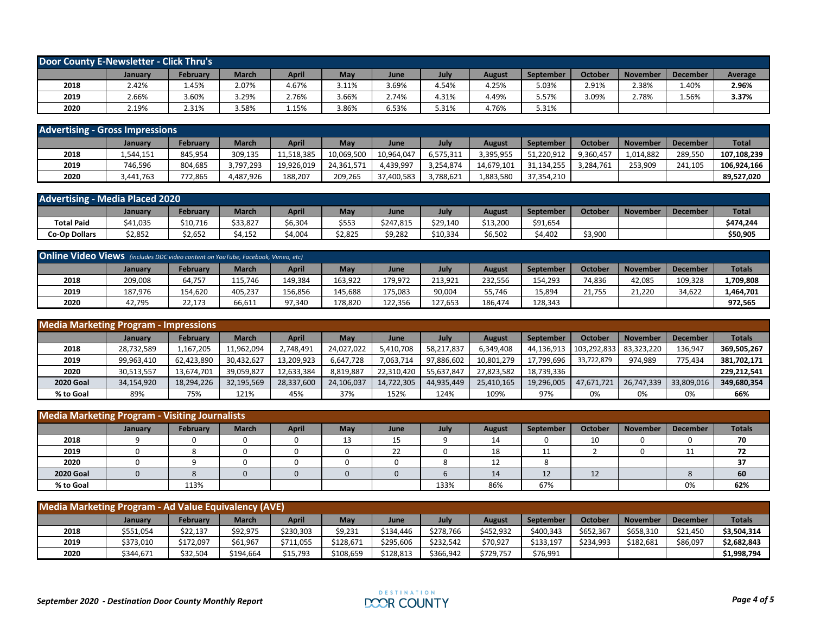| Door County E-Newsletter - Click Thru's |         |          |              |       |       |       |       |        |           |         |                 |                 |                |
|-----------------------------------------|---------|----------|--------------|-------|-------|-------|-------|--------|-----------|---------|-----------------|-----------------|----------------|
|                                         | January | February | <b>March</b> | April | May   | June  | July  | August | September | October | <b>November</b> | <b>December</b> | <b>Average</b> |
| 2018                                    | 2.42%   | 1.45%    | 2.07%        | 4.67% | 3.11% | 3.69% | 4.54% | 4.25%  | 5.03%     | 2.91%   | 2.38%           | 1.40%           | 2.96%          |
| 2019                                    | 2.66%   | 3.60%    | 3.29%        | 2.76% | 3.66% | 2.74% | 4.31% | 4.49%  | 5.57%     | 3.09%   | $2.78\%$        | 1.56%           | 3.37%          |
| 2020                                    | 2.19%   | 2.31%    | 3.58%        | 1.15% | 3.86% | 5.53% | 5.31% | 4.76%  | 5.31%     |         |                 |                 |                |

| <b>Advertising - Gross Impressions</b> |           |          |              |              |            |            |           |            |            |                |                 |                 |              |
|----------------------------------------|-----------|----------|--------------|--------------|------------|------------|-----------|------------|------------|----------------|-----------------|-----------------|--------------|
|                                        | January   | February | <b>March</b> | <b>April</b> | May        | June       | July      | August     | September  | <b>October</b> | <b>November</b> | <b>December</b> | <b>Total</b> |
| 2018                                   | 1,544,151 | 845,954  | 309,135      | 11.518.385   | 10,069,500 | 10,964,047 | 6,575,311 | 3,395,955  | 51.220.912 | 9,360,457      | 1.014.882       | 289,550         | 107.108.239  |
| 2019                                   | 746,596   | 804,685  | 3,797,293    | 19,926,019   | 24.361.571 | 4.439.997  | 3,254,874 | 14,679,101 | 31,134,255 | 3,284,761      | 253,909         | 241,105         | 106.924.166  |
| 2020                                   | 3,441,763 | 772,865  | 4,487,926    | 188,207      | 209,265    | 37,400,583 | 3,788,621 | 1,883,580  | 37.354.210 |                |                 |                 | 89,527,020   |

| <b>Advertising - Media Placed 2020</b> |                |          |              |         |         |            |          |         |           |         |                 |                 |              |
|----------------------------------------|----------------|----------|--------------|---------|---------|------------|----------|---------|-----------|---------|-----------------|-----------------|--------------|
|                                        | <b>January</b> | February | <b>March</b> | April   | May     | <b>Jun</b> | July     | August  | September | Octobeı | <b>November</b> | <b>December</b> | <b>Total</b> |
| <b>Total Paid</b>                      | \$41,035       | \$10,716 | \$33,827     | \$6,304 | \$553   | \$247,815  | 29,140   | ነ13,200 | \$91,654  |         |                 |                 | \$474,244    |
| <b>Co-Op Dollars</b>                   | \$2,852        | \$2,652  | \$4,152      | 4,004   | \$2,825 | \$9,282    | \$10,334 | \$6,502 | \$4,402   | \$3,900 |                 |                 | \$50,905     |

| <b>Online Video Views</b> (includes DDC video content on YouTube, Facebook, Vimeo, etc) |         |          |              |         |         |         |         |         |           |         |                 |                 |               |
|-----------------------------------------------------------------------------------------|---------|----------|--------------|---------|---------|---------|---------|---------|-----------|---------|-----------------|-----------------|---------------|
|                                                                                         | January | Februarv | <b>March</b> | April   | May     | June    | July    | August  | September | October | <b>November</b> | <b>December</b> | <b>Totals</b> |
| 2018                                                                                    | 209,008 | 64,757   | 115.746      | 149.384 | 163.922 | 79.972  | 213.921 | 232.556 | 154.293   | 74.836  | 42.085          | 109.328         | L,709,808     |
| 2019                                                                                    | 187.976 | 154,620  | 405.237      | 156.856 | 145.688 | .75.083 | 90,004  | 55,746  | 15,894    | 21,755  | 21,220          | 34,622          | 1,464,701     |
| 2020                                                                                    | 42,795  | 22.173   | 66,611       | 97.340  | 178.820 | 122.356 | 127.653 | 186,474 | 128.343   |         |                 |                 | 972.565       |

| <b>Media Marketing Program - Impressions</b> |                |                 |              |              |            |            |            |               |                  |                        |            |                 |               |
|----------------------------------------------|----------------|-----------------|--------------|--------------|------------|------------|------------|---------------|------------------|------------------------|------------|-----------------|---------------|
|                                              | <b>January</b> | <b>February</b> | <b>March</b> | <b>April</b> | May        | June       | July       | <b>August</b> | <b>September</b> | October                | November   | <b>December</b> | <b>Totals</b> |
| 2018                                         | 28,732,589     | .167.205        | 11,962,094   | 2.748.491    | 24.027.022 | 5.410.708  | 58.217.837 | 6,349,408     | 44.136.913       | 103.292.833 83.323.220 |            | 136.947         | 369,505,267   |
| 2019                                         | 99,963,410     | 62,423,890      | 30,432,627   | 13,209,923   | 6,647,728  | 7,063,714  | 97,886,602 | 10,801,279    | 17,799,696       | 33,722,879             | 974.989    | 775.434         | 381,702,171   |
| 2020                                         | 30,513,557     | 13,674,701      | 39,059,827   | 12,633,384   | 8,819,887  | 22,310,420 | 55,637,847 | 27,823,582    | 18,739,336       |                        |            |                 | 229,212,541   |
| <b>2020 Goal</b>                             | 34,154,920     | 18,294,226      | 32,195,569   | 28,337,600   | 24,106,037 | 14,722,305 | 44,935,449 | 25,410,165    | 19.296.005       | 47,671,721             | 26.747.339 | 33,809,016      | 349,680,354   |
| % to Goal                                    | 89%            | 75%             | 121%         | 45%          | 37%        | 152%       | 124%       | 109%          | 97%              | 0%                     | 0%         | 0%              | 66%           |

| Media Marketing Program - Visiting Journalists |         |          |              |              |            |      |      |                      |           |                     |          |                 |               |
|------------------------------------------------|---------|----------|--------------|--------------|------------|------|------|----------------------|-----------|---------------------|----------|-----------------|---------------|
|                                                | January | February | <b>March</b> | <b>April</b> | <b>May</b> | June | July | August               | September | October             | November | <b>December</b> | <b>Totals</b> |
| 2018                                           |         |          |              |              | 13         | 15   |      | 1 <sub>1</sub><br>14 |           | 10                  |          |                 | 70            |
| 2019                                           |         |          |              |              |            | 22   |      | 18                   | --        |                     |          | . .             | 74            |
| 2020                                           |         |          |              |              |            |      |      | ᅭ                    |           |                     |          |                 | 37            |
| <b>2020 Goal</b>                               |         |          |              |              |            |      |      | 14                   | ᅭ         | 1 <sub>2</sub><br>ᅩ |          |                 | 60            |
| % to Goal                                      |         | 113%     |              |              |            |      | 133% | 86%                  | 67%       |                     |          | 0%              | 62%           |

| <b>Media Marketing Program - Ad Value Equivalency (AVE)</b> |           |           |              |              |           |           |           |           |                  |                |                 |                 |               |
|-------------------------------------------------------------|-----------|-----------|--------------|--------------|-----------|-----------|-----------|-----------|------------------|----------------|-----------------|-----------------|---------------|
|                                                             | January   | Februarv  | <b>March</b> | <b>April</b> | May       | June      | July      | August    | <b>September</b> | <b>October</b> | <b>November</b> | <b>December</b> | <b>Totals</b> |
| 2018                                                        | \$551,054 | \$22,137  | \$92,975     | \$230,303    | \$9,231   | \$134.446 | \$278,766 | \$452,932 | \$400,343        | \$652,367      | \$658,310       | \$21,450        | \$3,504,314   |
| 2019                                                        | \$373,010 | \$172,097 | \$61,967     | \$711,055    | \$128,671 | \$295,606 | \$232,542 | \$70,927  | \$133,197        | \$234,993      | \$182,681       | \$86,097        | \$2,682,843   |
| 2020                                                        | \$344,671 | \$32,504  | \$194,664    | \$15,793     | \$108,659 | \$128,813 | \$366,942 | \$729,757 | \$76,991         |                |                 |                 | \$1,998,794   |